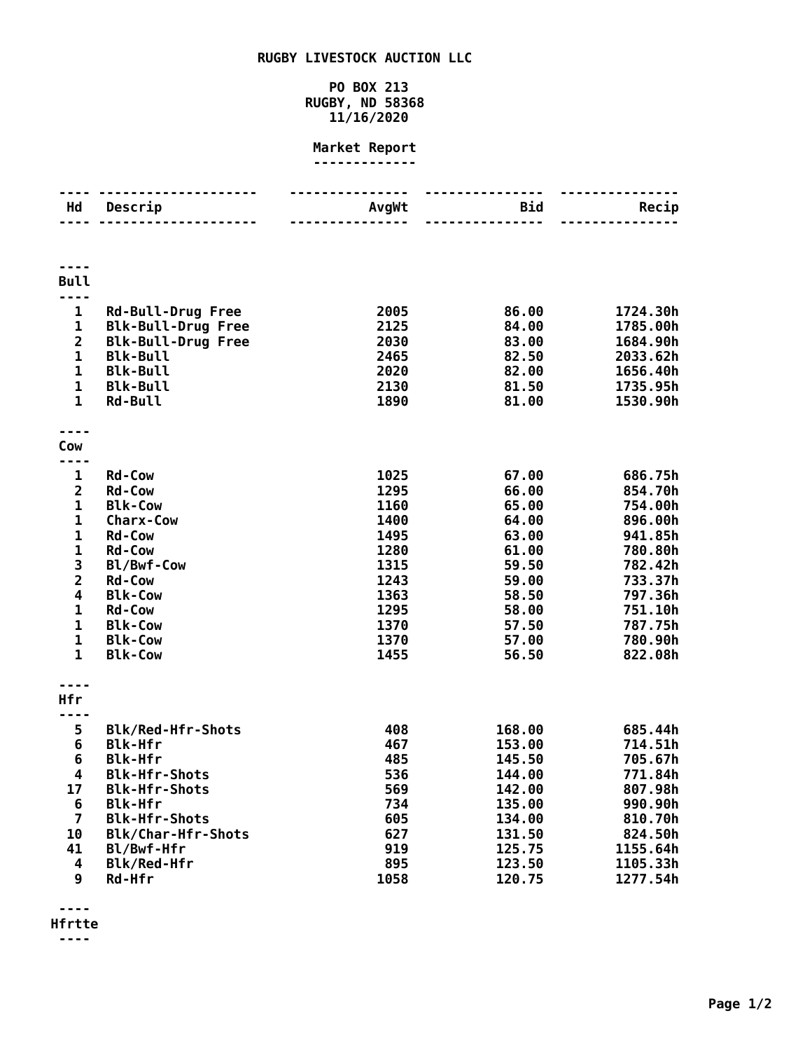## **RUGBY LIVESTOCK AUCTION LLC**

## **PO BOX 213 RUGBY, ND 58368 11/16/2020**

## **Market Report -------------**

| Hd                      | Descrip                            | AvgWt        | Bid            | Recip                |
|-------------------------|------------------------------------|--------------|----------------|----------------------|
|                         |                                    |              | $- - - - - -$  |                      |
|                         |                                    |              |                |                      |
| <b>Bull</b>             |                                    |              |                |                      |
| ----                    |                                    |              |                |                      |
| 1                       | <b>Rd-Bull-Drug Free</b>           | 2005         | 86.00          | 1724.30h             |
| 1                       | <b>Blk-Bull-Drug Free</b>          | 2125         | 84.00          | 1785.00h             |
| $\overline{\mathbf{c}}$ | <b>Blk-Bull-Drug Free</b>          | 2030         | 83.00          | 1684.90h             |
| 1                       | <b>Blk-Bull</b>                    | 2465         | 82.50          | 2033.62h             |
| 1<br>$\mathbf{1}$       | <b>Blk-Bull</b><br><b>Blk-Bull</b> | 2020<br>2130 | 82.00<br>81.50 | 1656.40h<br>1735.95h |
| $\mathbf{1}$            | <b>Rd-Bull</b>                     | 1890         | 81.00          | 1530.90h             |
|                         |                                    |              |                |                      |
|                         |                                    |              |                |                      |
| Cow                     |                                    |              |                |                      |
| 1                       | <b>Rd-Cow</b>                      | 1025         | 67.00          | 686.75h              |
| 2                       | <b>Rd-Cow</b>                      | 1295         | 66.00          | 854.70h              |
| $\mathbf 1$             | <b>Blk-Cow</b>                     | 1160         | 65.00          | 754.00h              |
| $\mathbf 1$             | <b>Charx-Cow</b>                   | 1400         | 64.00          | 896.00h              |
| 1                       | <b>Rd-Cow</b>                      | 1495         | 63.00          | 941.85h              |
| $\mathbf{1}$            | <b>Rd-Cow</b>                      | 1280         | 61.00          | 780.80h              |
| 3                       | Bl/Bwf-Cow                         | 1315         | 59.50          | 782.42h              |
| $\overline{\mathbf{2}}$ | <b>Rd-Cow</b>                      | 1243         | 59.00          | 733.37h              |
| 4                       | <b>Blk-Cow</b>                     | 1363         | 58.50          | 797.36h              |
| 1                       | <b>Rd-Cow</b>                      | 1295         | 58.00          | 751.10h              |
| 1<br>$\mathbf 1$        | <b>Blk-Cow</b>                     | 1370<br>1370 | 57.50          | 787.75h              |
| $\mathbf{1}$            | <b>Blk-Cow</b><br><b>Blk-Cow</b>   | 1455         | 57.00<br>56.50 | 780.90h<br>822.08h   |
|                         |                                    |              |                |                      |
|                         |                                    |              |                |                      |
| Hfr                     |                                    |              |                |                      |
| 5                       | <b>Blk/Red-Hfr-Shots</b>           | 408          | 168.00         | 685.44h              |
| 6                       | <b>Blk-Hfr</b>                     | 467          | 153.00         | 714.51h              |
| 6                       | <b>Blk-Hfr</b>                     | 485          | 145.50         | 705.67h              |
| 4                       | <b>Blk-Hfr-Shots</b>               | 536          | 144.00         | 771.84h              |
| 17                      | <b>Blk-Hfr-Shots</b>               | 569          | 142.00         | 807.98h              |
| 6                       | <b>Blk-Hfr</b>                     | 734          | 135.00         | 990.90h              |
| $\overline{\mathbf{z}}$ | <b>Blk-Hfr-Shots</b>               | 605          | 134.00         | 810.70h              |
| 10                      | Blk/Char-Hfr-Shots                 | 627          | 131.50         | 824.50h              |
| 41                      | Bl/Bwf-Hfr                         | 919          | 125.75         | 1155.64h             |
| 4                       | Blk/Red-Hfr                        | 895          | 123.50         | 1105.33h             |
| 9                       | Rd-Hfr                             | 1058         | 120.75         | 1277.54h             |

**----**

**Hfrtte**

**----**